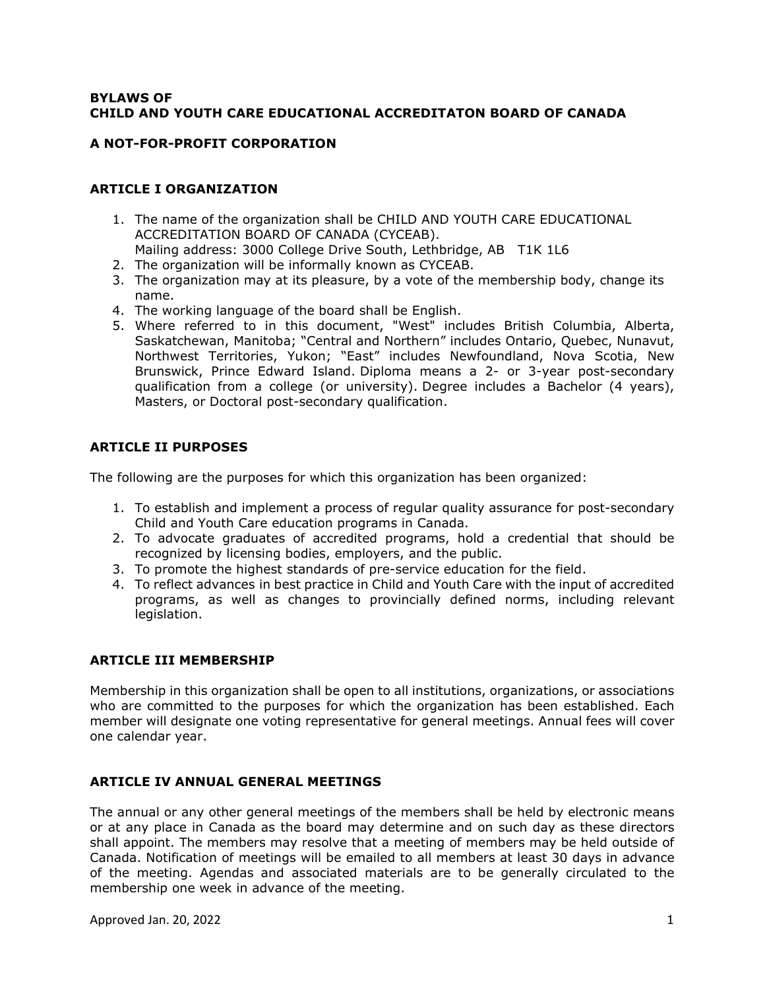### **BYLAWS OF CHILD AND YOUTH CARE EDUCATIONAL ACCREDITATON BOARD OF CANADA**

#### **A NOT-FOR-PROFIT CORPORATION**

### **ARTICLE I ORGANIZATION**

- 1. The name of the organization shall be CHILD AND YOUTH CARE EDUCATIONAL ACCREDITATION BOARD OF CANADA (CYCEAB).
- Mailing address: 3000 College Drive South, Lethbridge, AB T1K 1L6
- 2. The organization will be informally known as CYCEAB.
- 3. The organization may at its pleasure, by a vote of the membership body, change its name.
- 4. The working language of the board shall be English.
- 5. Where referred to in this document, "West" includes British Columbia, Alberta, Saskatchewan, Manitoba; "Central and Northern" includes Ontario, Quebec, Nunavut, Northwest Territories, Yukon; "East" includes Newfoundland, Nova Scotia, New Brunswick, Prince Edward Island. Diploma means a 2- or 3-year post-secondary qualification from a college (or university). Degree includes a Bachelor (4 years), Masters, or Doctoral post-secondary qualification.

### **ARTICLE II PURPOSES**

The following are the purposes for which this organization has been organized:

- 1. To establish and implement a process of regular quality assurance for post-secondary Child and Youth Care education programs in Canada.
- 2. To advocate graduates of accredited programs, hold a credential that should be recognized by licensing bodies, employers, and the public.
- 3. To promote the highest standards of pre-service education for the field.
- 4. To reflect advances in best practice in Child and Youth Care with the input of accredited programs, as well as changes to provincially defined norms, including relevant legislation.

### **ARTICLE III MEMBERSHIP**

Membership in this organization shall be open to all institutions, organizations, or associations who are committed to the purposes for which the organization has been established. Each member will designate one voting representative for general meetings. Annual fees will cover one calendar year.

### **ARTICLE IV ANNUAL GENERAL MEETINGS**

The annual or any other general meetings of the members shall be held by electronic means or at any place in Canada as the board may determine and on such day as these directors shall appoint. The members may resolve that a meeting of members may be held outside of Canada. Notification of meetings will be emailed to all members at least 30 days in advance of the meeting. Agendas and associated materials are to be generally circulated to the membership one week in advance of the meeting.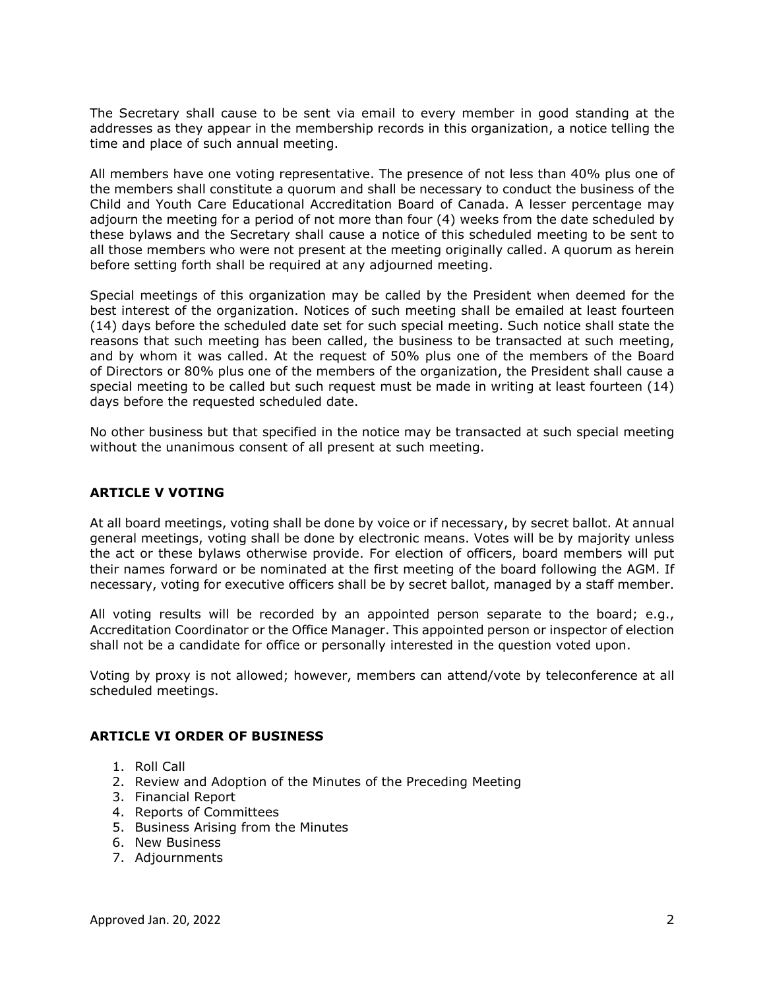The Secretary shall cause to be sent via email to every member in good standing at the addresses as they appear in the membership records in this organization, a notice telling the time and place of such annual meeting.

All members have one voting representative. The presence of not less than 40% plus one of the members shall constitute a quorum and shall be necessary to conduct the business of the Child and Youth Care Educational Accreditation Board of Canada. A lesser percentage may adjourn the meeting for a period of not more than four (4) weeks from the date scheduled by these bylaws and the Secretary shall cause a notice of this scheduled meeting to be sent to all those members who were not present at the meeting originally called. A quorum as herein before setting forth shall be required at any adjourned meeting.

Special meetings of this organization may be called by the President when deemed for the best interest of the organization. Notices of such meeting shall be emailed at least fourteen (14) days before the scheduled date set for such special meeting. Such notice shall state the reasons that such meeting has been called, the business to be transacted at such meeting, and by whom it was called. At the request of 50% plus one of the members of the Board of Directors or 80% plus one of the members of the organization, the President shall cause a special meeting to be called but such request must be made in writing at least fourteen (14) days before the requested scheduled date.

No other business but that specified in the notice may be transacted at such special meeting without the unanimous consent of all present at such meeting.

### **ARTICLE V VOTING**

At all board meetings, voting shall be done by voice or if necessary, by secret ballot. At annual general meetings, voting shall be done by electronic means. Votes will be by majority unless the act or these bylaws otherwise provide. For election of officers, board members will put their names forward or be nominated at the first meeting of the board following the AGM. If necessary, voting for executive officers shall be by secret ballot, managed by a staff member.

All voting results will be recorded by an appointed person separate to the board; e.g., Accreditation Coordinator or the Office Manager. This appointed person or inspector of election shall not be a candidate for office or personally interested in the question voted upon.

Voting by proxy is not allowed; however, members can attend/vote by teleconference at all scheduled meetings.

### **ARTICLE VI ORDER OF BUSINESS**

- 1. Roll Call
- 2. Review and Adoption of the Minutes of the Preceding Meeting
- 3. Financial Report
- 4. Reports of Committees
- 5. Business Arising from the Minutes
- 6. New Business
- 7. Adjournments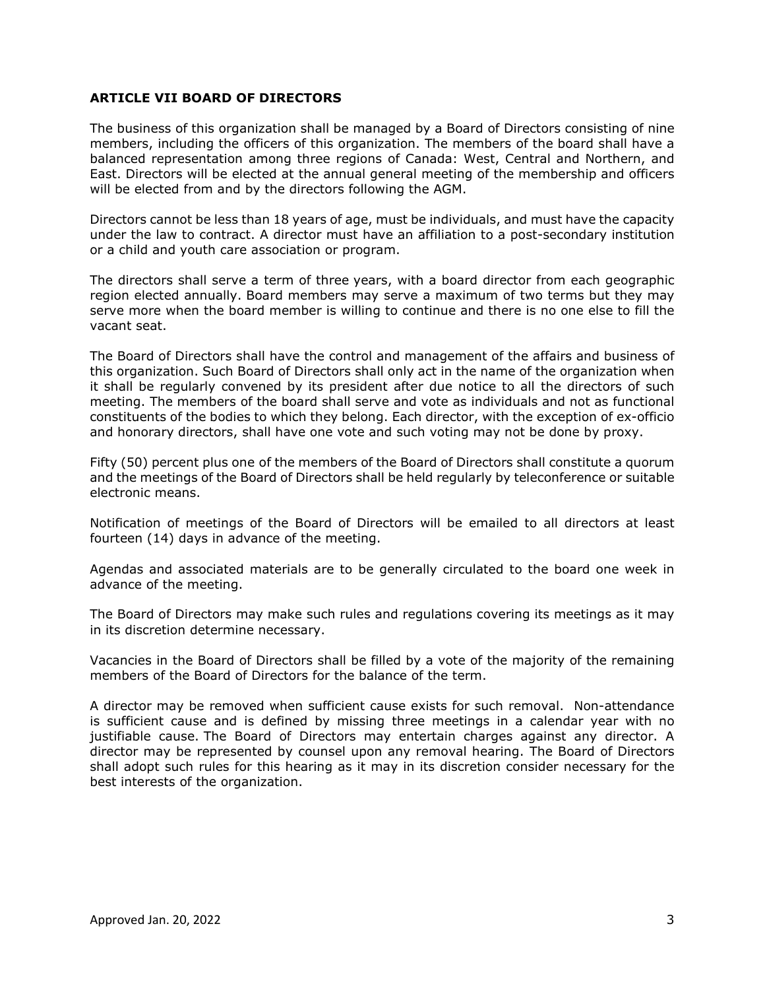### **ARTICLE VII BOARD OF DIRECTORS**

The business of this organization shall be managed by a Board of Directors consisting of nine members, including the officers of this organization. The members of the board shall have a balanced representation among three regions of Canada: West, Central and Northern, and East. Directors will be elected at the annual general meeting of the membership and officers will be elected from and by the directors following the AGM.

Directors cannot be less than 18 years of age, must be individuals, and must have the capacity under the law to contract. A director must have an affiliation to a post-secondary institution or a child and youth care association or program.

The directors shall serve a term of three years, with a board director from each geographic region elected annually. Board members may serve a maximum of two terms but they may serve more when the board member is willing to continue and there is no one else to fill the vacant seat.

The Board of Directors shall have the control and management of the affairs and business of this organization. Such Board of Directors shall only act in the name of the organization when it shall be regularly convened by its president after due notice to all the directors of such meeting. The members of the board shall serve and vote as individuals and not as functional constituents of the bodies to which they belong. Each director, with the exception of ex-officio and honorary directors, shall have one vote and such voting may not be done by proxy.

Fifty (50) percent plus one of the members of the Board of Directors shall constitute a quorum and the meetings of the Board of Directors shall be held regularly by teleconference or suitable electronic means.

Notification of meetings of the Board of Directors will be emailed to all directors at least fourteen (14) days in advance of the meeting.

Agendas and associated materials are to be generally circulated to the board one week in advance of the meeting.

The Board of Directors may make such rules and regulations covering its meetings as it may in its discretion determine necessary.

Vacancies in the Board of Directors shall be filled by a vote of the majority of the remaining members of the Board of Directors for the balance of the term.

A director may be removed when sufficient cause exists for such removal. Non-attendance is sufficient cause and is defined by missing three meetings in a calendar year with no justifiable cause. The Board of Directors may entertain charges against any director. A director may be represented by counsel upon any removal hearing. The Board of Directors shall adopt such rules for this hearing as it may in its discretion consider necessary for the best interests of the organization.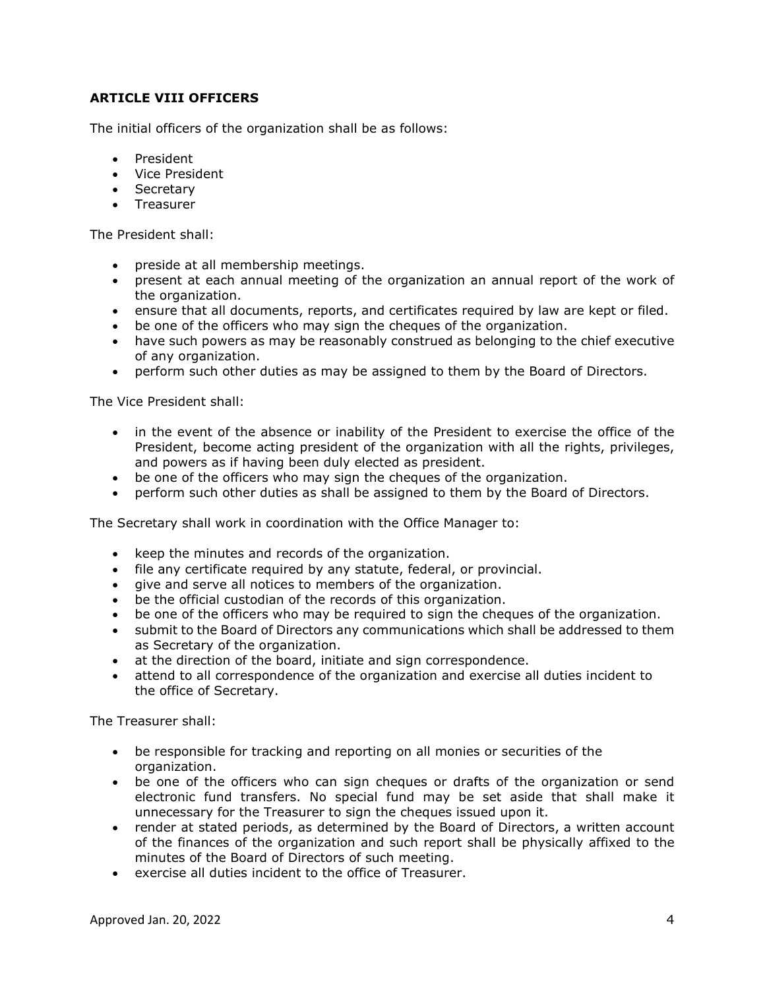# **ARTICLE VIII OFFICERS**

The initial officers of the organization shall be as follows:

- President
- Vice President
- Secretary
- Treasurer

The President shall:

- preside at all membership meetings.
- present at each annual meeting of the organization an annual report of the work of the organization.
- ensure that all documents, reports, and certificates required by law are kept or filed.
- be one of the officers who may sign the cheques of the organization.
- have such powers as may be reasonably construed as belonging to the chief executive of any organization.
- perform such other duties as may be assigned to them by the Board of Directors.

The Vice President shall:

- in the event of the absence or inability of the President to exercise the office of the President, become acting president of the organization with all the rights, privileges, and powers as if having been duly elected as president.
- be one of the officers who may sign the cheques of the organization.
- perform such other duties as shall be assigned to them by the Board of Directors.

The Secretary shall work in coordination with the Office Manager to:

- keep the minutes and records of the organization.
- file any certificate required by any statute, federal, or provincial.
- give and serve all notices to members of the organization.
- be the official custodian of the records of this organization.
- be one of the officers who may be required to sign the cheques of the organization.
- submit to the Board of Directors any communications which shall be addressed to them as Secretary of the organization.
- at the direction of the board, initiate and sign correspondence.
- attend to all correspondence of the organization and exercise all duties incident to the office of Secretary.

The Treasurer shall:

- be responsible for tracking and reporting on all monies or securities of the organization.
- be one of the officers who can sign cheques or drafts of the organization or send electronic fund transfers. No special fund may be set aside that shall make it unnecessary for the Treasurer to sign the cheques issued upon it.
- render at stated periods, as determined by the Board of Directors, a written account of the finances of the organization and such report shall be physically affixed to the minutes of the Board of Directors of such meeting.
- exercise all duties incident to the office of Treasurer.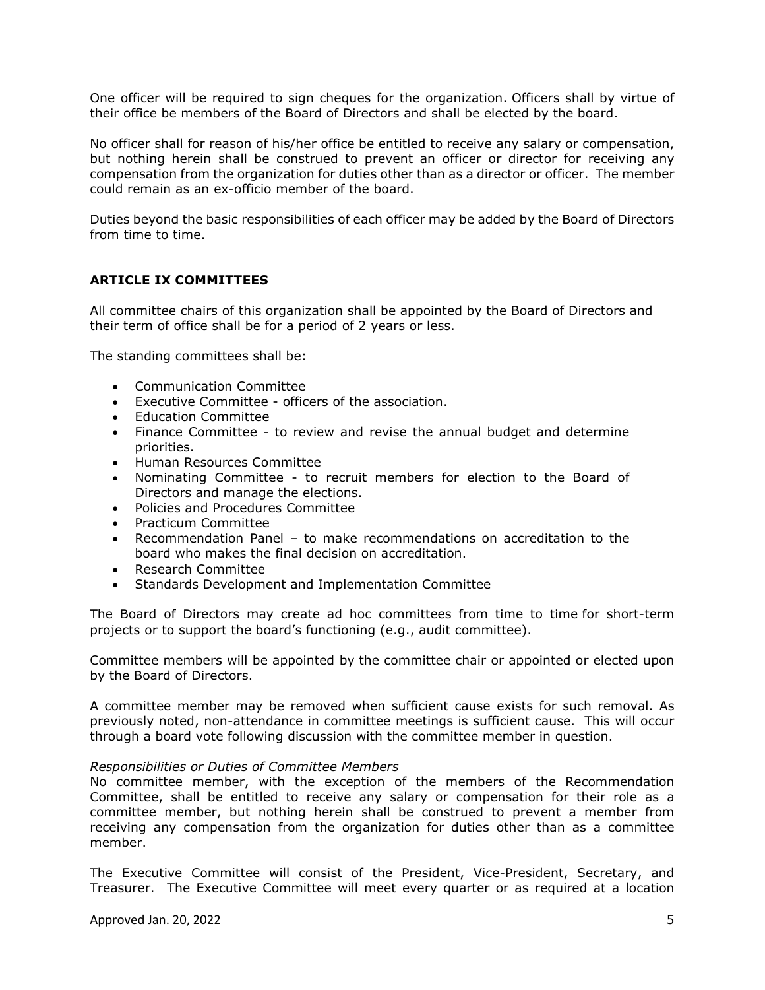One officer will be required to sign cheques for the organization. Officers shall by virtue of their office be members of the Board of Directors and shall be elected by the board.

No officer shall for reason of his/her office be entitled to receive any salary or compensation, but nothing herein shall be construed to prevent an officer or director for receiving any compensation from the organization for duties other than as a director or officer. The member could remain as an ex-officio member of the board.

Duties beyond the basic responsibilities of each officer may be added by the Board of Directors from time to time.

### **ARTICLE IX COMMITTEES**

All committee chairs of this organization shall be appointed by the Board of Directors and their term of office shall be for a period of 2 years or less.

The standing committees shall be:

- Communication Committee
- Executive Committee officers of the association.
- Education Committee
- Finance Committee to review and revise the annual budget and determine priorities.
- Human Resources Committee
- Nominating Committee to recruit members for election to the Board of Directors and manage the elections.
- Policies and Procedures Committee
- Practicum Committee
- Recommendation Panel to make recommendations on accreditation to the board who makes the final decision on accreditation.
- Research Committee
- Standards Development and Implementation Committee

The Board of Directors may create ad hoc committees from time to time for short-term projects or to support the board's functioning (e.g., audit committee).

Committee members will be appointed by the committee chair or appointed or elected upon by the Board of Directors.

A committee member may be removed when sufficient cause exists for such removal. As previously noted, non-attendance in committee meetings is sufficient cause. This will occur through a board vote following discussion with the committee member in question.

#### *Responsibilities or Duties of Committee Members*

No committee member, with the exception of the members of the Recommendation Committee, shall be entitled to receive any salary or compensation for their role as a committee member, but nothing herein shall be construed to prevent a member from receiving any compensation from the organization for duties other than as a committee member.

The Executive Committee will consist of the President, Vice-President, Secretary, and Treasurer. The Executive Committee will meet every quarter or as required at a location